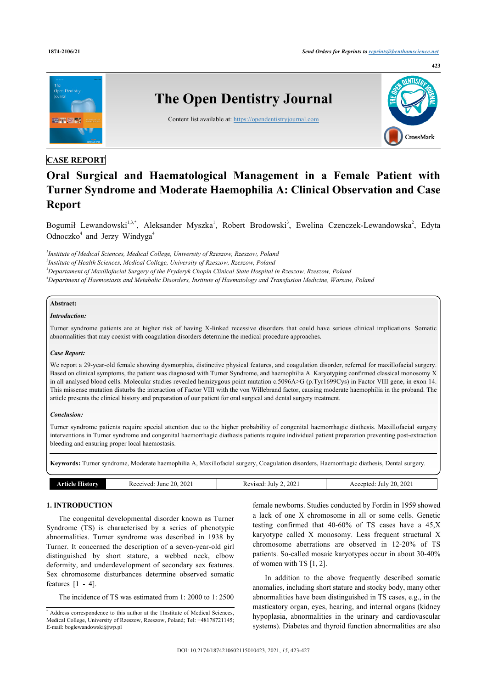

# **CASE REPORT**

# **Oral Surgical and Haematological Management in a Female Patient with Turner Syndrome and Moderate Haemophilia A: Clinical Observation and Case Report**

Bogumił Lewandowski<sup>[1](#page-0-0),[3,](#page-0-1)[\\*](#page-0-2)</sup>, Aleksander Myszka<sup>1</sup>, Robert Brodowski<sup>[3](#page-0-1)</sup>, Ewelina Czenczek-Lewandowska<sup>[2](#page-0-3)</sup>, Edyta Odnoczko<sup>[4](#page-0-4)</sup> and Jerzy Windyga<sup>4</sup>

<span id="page-0-4"></span><span id="page-0-3"></span><span id="page-0-1"></span><span id="page-0-0"></span> *Institute of Medical Sciences, Medical College, University of Rzeszow, Rzeszow, Poland Institute of Health Sciences, Medical College, University of Rzeszow, Rzeszow, Poland Departament of Maxillofacial Surgery of the Fryderyk Chopin Clinical State Hospital in Rzeszow, Rzeszow, Poland Department of Haemostasis and Metabolic Disorders, Institute of Haematology and Transfusion Medicine, Warsaw, Poland*

# **Abstract:**

#### *Introduction:*

Turner syndrome patients are at higher risk of having X-linked recessive disorders that could have serious clinical implications. Somatic abnormalities that may coexist with coagulation disorders determine the medical procedure approaches.

#### *Case Report:*

We report a 29-year-old female showing dysmorphia, distinctive physical features, and coagulation disorder, referred for maxillofacial surgery. Based on clinical symptoms, the patient was diagnosed with Turner Syndrome, and haemophilia A. Karyotyping confirmed classical monosomy X in all analysed blood cells. Molecular studies revealed hemizygous point mutation c.5096A>G (p.Tyr1699Cys) in Factor VIII gene, in exon 14. This missense mutation disturbs the interaction of Factor VIII with the von Willebrand factor, causing moderate haemophilia in the proband. The article presents the clinical history and preparation of our patient for oral surgical and dental surgery treatment.

# *Conclusion:*

Turner syndrome patients require special attention due to the higher probability of congenital haemorrhagic diathesis. Maxillofacial surgery interventions in Turner syndrome and congenital haemorrhagic diathesis patients require individual patient preparation preventing post-extraction bleeding and ensuring proper local haemostasis.

**Keywords:** Turner syndrome, Moderate haemophilia A, Maxillofacial surgery, Coagulation disorders, Haemorrhagic diathesis, Dental surgery.

| ाडाठाम्<br>рто Іо | 2021<br>20.<br>'eceived<br>June<br>ww | 2021<br>July<br>'evised.<br>- KL | 20.2021<br>July<br>Accepted: |  |  |
|-------------------|---------------------------------------|----------------------------------|------------------------------|--|--|
|                   |                                       |                                  |                              |  |  |

# **1. INTRODUCTION**

The congenital developmental disorder known as Turner Syndrome (TS) is characterised by a series of phenotypic abnormalities. Turner syndrome was described in 1938 by Turner. It concerned the description of a seven-year-old girl distinguished by short stature, a webbed neck, elbow deformity, and underdevelopment of secondary sex features. Sex chromosome disturbances determine observed somatic features  $[1 - 4]$  $[1 - 4]$ .

The incidence of TS was estimated from 1: 2000 to 1: 2500

female newborns. Studies conducted by Fordin in 1959 showed a lack of one X chromosome in all or some cells. Genetic testing confirmed that 40-60% of TS cases have a 45,X karyotype called X monosomy. Less frequent structural X chromosome aberrations are observed in 12-20% of TS patients. So-called mosaic karyotypes occur in about 30-40% of women with TS [\[1,](#page-4-0) [2\]](#page-4-2).

In addition to the above frequently described somatic anomalies, including short stature and stocky body, many other abnormalities have been distinguished in TS cases, e.g., in the masticatory organ, eyes, hearing, and internal organs (kidney hypoplasia, abnormalities in the urinary and cardiovascular systems). Diabetes and thyroid function abnormalities are also

<span id="page-0-2"></span><sup>\*</sup> Address correspondence to this author at the 1Institute of Medical Sciences, Medical College, University of Rzeszow, Rzeszow, Poland; Tel: +48178721145; E-mail: [boglewandowski@wp.pl](mailto:boglewandowski@wp.pl)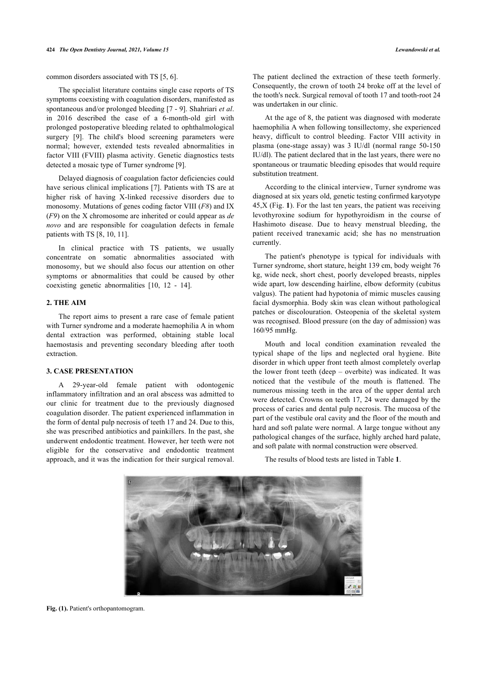common disorders associated with TS [[5](#page-4-3), [6](#page-4-4)].

The specialist literature contains single case reports of TS symptoms coexisting with coagulation disorders, manifested as spontaneous and/or prolonged bleeding [[7](#page-4-5) - [9\]](#page-4-6). Shahriari *et al*. in 2016 described the case of a 6-month-old girl with prolonged postoperative bleeding related to ophthalmological surgery[[9](#page-4-6)]. The child's blood screening parameters were normal; however, extended tests revealed abnormalities in factor VIII (FVIII) plasma activity. Genetic diagnostics tests detected a mosaic type of Turner syndrome [[9](#page-4-6)].

Delayed diagnosis of coagulation factor deficiencies could have serious clinical implications [[7](#page-4-5)]. Patients with TS are at higher risk of having X-linked recessive disorders due to monosomy. Mutations of genes coding factor VIII (*F8*) and IX (*F9*) on the X chromosome are inherited or could appear as *de novo* and are responsible for coagulation defects in female patients with TS [[8](#page-4-7), [10,](#page-4-8) [11](#page-4-9)].

In clinical practice with TS patients, we usually concentrate on somatic abnormalities associated with monosomy, but we should also focus our attention on other symptoms or abnormalities that could be caused by other coexisting genetic abnormalities [\[10](#page-4-8), [12](#page-4-10) - [14](#page-4-11)].

# **2. THE AIM**

The report aims to present a rare case of female patient with Turner syndrome and a moderate haemophilia A in whom dental extraction was performed, obtaining stable local haemostasis and preventing secondary bleeding after tooth extraction.

# **3. CASE PRESENTATION**

<span id="page-1-0"></span>A 29-year-old female patient with odontogenic inflammatory infiltration and an oral abscess was admitted to our clinic for treatment due to the previously diagnosed coagulation disorder. The patient experienced inflammation in the form of dental pulp necrosis of teeth 17 and 24. Due to this, she was prescribed antibiotics and painkillers. In the past, she underwent endodontic treatment. However, her teeth were not eligible for the conservative and endodontic treatment approach, and it was the indication for their surgical removal.

The patient declined the extraction of these teeth formerly. Consequently, the crown of tooth 24 broke off at the level of the tooth's neck. Surgical removal of tooth 17 and tooth-root 24 was undertaken in our clinic.

At the age of 8, the patient was diagnosed with moderate haemophilia A when following tonsillectomy, she experienced heavy, difficult to control bleeding. Factor VIII activity in plasma (one-stage assay) was 3 IU/dl (normal range 50-150 IU/dl). The patient declared that in the last years, there were no spontaneous or traumatic bleeding episodes that would require substitution treatment.

According to the clinical interview, Turner syndrome was diagnosed at six years old, genetic testing confirmed karyotype 45,X (Fig. **[1](#page-1-0)**). For the last ten years, the patient was receiving levothyroxine sodium for hypothyroidism in the course of Hashimoto disease. Due to heavy menstrual bleeding, the patient received tranexamic acid; she has no menstruation currently.

The patient's phenotype is typical for individuals with Turner syndrome, short stature, height 139 cm, body weight 76 kg, wide neck, short chest, poorly developed breasts, nipples wide apart, low descending hairline, elbow deformity (cubitus valgus). The patient had hypotonia of mimic muscles causing facial dysmorphia. Body skin was clean without pathological patches or discolouration. Osteopenia of the skeletal system was recognised. Blood pressure (on the day of admission) was 160/95 mmHg.

Mouth and local condition examination revealed the typical shape of the lips and neglected oral hygiene. Bite disorder in which upper front teeth almost completely overlap the lower front teeth (deep – overbite) was indicated. It was noticed that the vestibule of the mouth is flattened. The numerous missing teeth in the area of the upper dental arch were detected. Crowns on teeth 17, 24 were damaged by the process of caries and dental pulp necrosis. The mucosa of the part of the vestibule oral cavity and the floor of the mouth and hard and soft palate were normal. A large tongue without any pathological changes of the surface, highly arched hard palate, and soft palate with normal construction were observed.

The results of blood tests are listed in Table **[1](#page-2-0)**.



Fig. (1). Patient's orthopantomogram.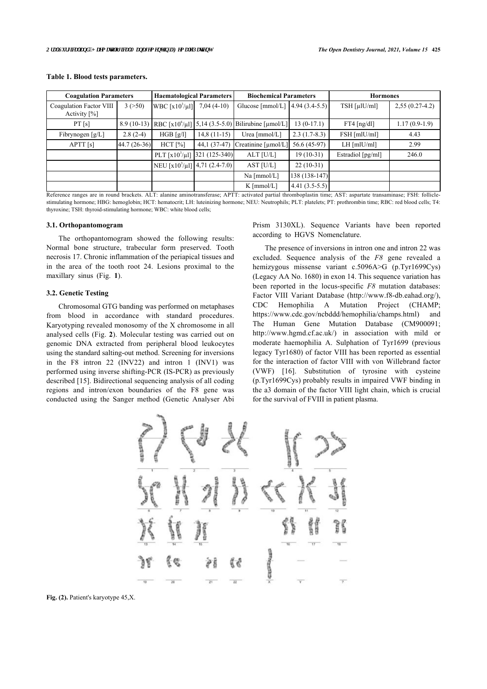| <b>Coagulation Parameters</b>           |              | <b>Haematological Parameters</b>         |               | <b>Biochemical Parameters</b>                                 |                 | <b>Hormones</b>          |                  |
|-----------------------------------------|--------------|------------------------------------------|---------------|---------------------------------------------------------------|-----------------|--------------------------|------------------|
| Coagulation Factor VIII<br>Activity [%] | 3(>50)       | WBC $\lceil x10^3/\mu l \rceil$          | $7,04(4-10)$  | Glucose [mmol/L] $ 4.94 (3.4-5.5) $                           |                 | $TSH$ [ $\mu$ [ $U$ /ml] | $2,55(0.27-4.2)$ |
| PT[s]                                   | $8.9(10-13)$ |                                          |               | RBC [x10 <sup>6</sup> /µl] 5,14 (3.5-5.0) Bilirubine [µmol/L] | $13(0-17.1)$    | $FT4$ [ng/dl]            | $1.17(0.9-1.9)$  |
| Fibrynogen $[g/L]$                      | $2.8(2-4)$   | HGB [g/l]                                | $14,8(11-15)$ | Urea [mmol/L]                                                 | $2.3(1.7-8.3)$  | FSH [mlU/ml]             | 4.43             |
| APT[s]                                  | 44.7 (26-36) | $HCT$ [%]                                | $44.1(37-47)$ | Creatinine [µmol/L]                                           | 56.6 (45-97)    | $LH$ [mlU/ml]            | 2.99             |
|                                         |              | PLT [x10 <sup>3</sup> /µl] 321 (125-340) |               | ALT [U/L]                                                     | $19(10-31)$     | Estradiol [pg/ml]        | 246.0            |
|                                         |              | NEU [ $x10^3/\mu$ ] 4,71 (2.4-7.0)       |               | AST [U/L]                                                     | $22(10-31)$     |                          |                  |
|                                         |              |                                          |               | Na [mmol/L]                                                   | $138(138-147)$  |                          |                  |
|                                         |              |                                          |               | $K \text{ [mmol/L]}$                                          | $4.41(3.5-5.5)$ |                          |                  |

#### <span id="page-2-0"></span>**Table 1. Blood tests parameters.**

Reference ranges are in round brackets. ALT: alanine aminotransferase; APTT: activated partial thromboplastin time; AST: aspartate transaminase; FSH: folliclestimulating hormone; HBG: hemoglobin; HCT: hematocrit; LH: luteinizing hormone; NEU: Neutrophils; PLT: platelets; PT: prothrombin time; RBC: red blood cells; T4: thyroxine; TSH: thyroid-stimulating hormone; WBC: white blood cells;

#### **3.1. Orthopantomogram**

The orthopantomogram showed the following results: Normal bone structure, trabecular form preserved. Tooth necrosis 17. Chronic inflammation of the periapical tissues and in the area of the tooth root 24. Lesions proximal to the maxillary sinus (Fig.**1**).

#### **3.2. Genetic Testing**

<span id="page-2-1"></span>Chromosomal GTG banding was performed on metaphases from blood in accordance with standard procedures. Karyotyping revealed monosomy of the X chromosome in all analysed cells (Fig. **[2](#page-2-1)**). Molecular testing was carried out on genomic DNA extracted from peripheral blood leukocytes using the standard salting-out method. Screening for inversions in the F8 intron 22 (INV22) and intron 1 (INV1) was performed using inverse shifting-PCR (IS-PCR) as previously described [\[15](#page-4-12)]. Bidirectional sequencing analysis of all coding regions and intron/exon boundaries of the F8 gene was conducted using the Sanger method (Genetic Analyser Abi

Prism 3130XL). Sequence Variants have been reported according to HGVS Nomenclature.

The presence of inversions in intron one and intron 22 was excluded. Sequence analysis of the *F8* gene revealed a hemizygous missense variant c.5096A>G (p.Tyr1699Cys) (Legacy AA No. 1680) in exon 14. This sequence variation has been reported in the locus-specific *F8* mutation databases: Factor VIII Variant Database(<http://www.f8-db.eahad.org/>), CDC Hemophilia A Mutation Project (CHAMP; [https://www.cdc.gov/ncbddd/hemophilia/champs.html\)](https://www.cdc.gov/ncbddd/hemophilia/champs.html) and The Human Gene Mutation Database (CM900091; <http://www.hgmd.cf.ac.uk/>) in association with mild or moderate haemophilia A. Sulphation of Tyr1699 (previous legacy Tyr1680) of factor VIII has been reported as essential for the interaction of factor VIII with von Willebrand factor (VWF)[[16](#page-4-13)]. Substitution of tyrosine with cysteine (p.Tyr1699Cys) probably results in impaired VWF binding in the a3 domain of the factor VIII light chain, which is crucial for the survival of FVIII in patient plasma.



**Fig. (2).** Patient's karyotype 45,X.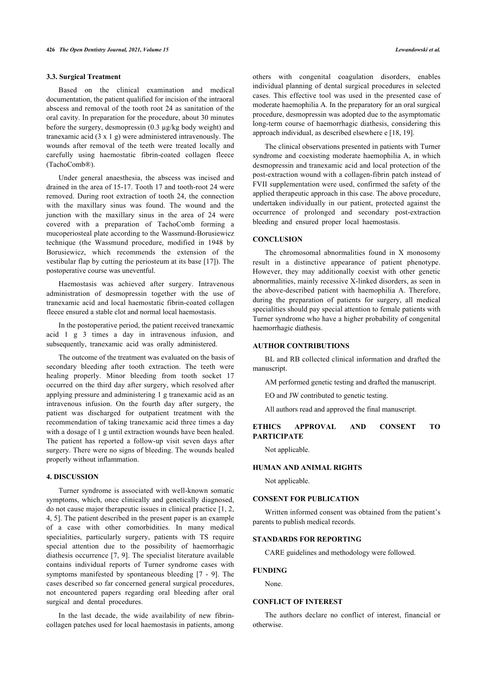### **3.3. Surgical Treatment**

Based on the clinical examination and medical documentation, the patient qualified for incision of the intraoral abscess and removal of the tooth root 24 as sanitation of the oral cavity. In preparation for the procedure, about 30 minutes before the surgery, desmopressin (0.3 µg/kg body weight) and tranexamic acid (3 x 1 g) were administered intravenously. The wounds after removal of the teeth were treated locally and carefully using haemostatic fibrin-coated collagen fleece (TachoComb®).

Under general anaesthesia, the abscess was incised and drained in the area of 15-17. Tooth 17 and tooth-root 24 were removed. During root extraction of tooth 24, the connection with the maxillary sinus was found. The wound and the junction with the maxillary sinus in the area of 24 were covered with a preparation of TachoComb forming a mucoperiosteal plate according to the Wassmund-Borusiewicz technique (the Wassmund procedure, modified in 1948 by Borusiewicz, which recommends the extension of the vestibular flap by cutting the periosteum at its base [[17](#page-4-14)]). The postoperative course was uneventful.

Haemostasis was achieved after surgery. Intravenous administration of desmopressin together with the use of tranexamic acid and local haemostatic fibrin-coated collagen fleece ensured a stable clot and normal local haemostasis.

In the postoperative period, the patient received tranexamic acid 1 g 3 times a day in intravenous infusion, and subsequently, tranexamic acid was orally administered.

The outcome of the treatment was evaluated on the basis of secondary bleeding after tooth extraction. The teeth were healing properly. Minor bleeding from tooth socket 17 occurred on the third day after surgery, which resolved after applying pressure and administering 1 g tranexamic acid as an intravenous infusion. On the fourth day after surgery, the patient was discharged for outpatient treatment with the recommendation of taking tranexamic acid three times a day with a dosage of 1 g until extraction wounds have been healed. The patient has reported a follow-up visit seven days after surgery. There were no signs of bleeding. The wounds healed properly without inflammation.

#### **4. DISCUSSION**

Turner syndrome is associated with well-known somatic symptoms, which, once clinically and genetically diagnosed, do not cause major therapeutic issues in clinical practice [\[1,](#page-4-0) [2](#page-4-2), [4](#page-4-1), [5\]](#page-4-3). The patient described in the present paper is an example of a case with other comorbidities. In many medical specialities, particularly surgery, patients with TS require special attention due to the possibility of haemorrhagic diathesis occurrence [[7](#page-4-5), [9](#page-4-6)]. The specialist literature available contains individual reports of Turner syndrome cases with symptoms manifested by spontaneous bleeding [\[7](#page-4-5) - [9\]](#page-4-6). The cases described so far concerned general surgical procedures, not encountered papers regarding oral bleeding after oral surgical and dental procedures.

In the last decade, the wide availability of new fibrincollagen patches used for local haemostasis in patients, among others with congenital coagulation disorders, enables individual planning of dental surgical procedures in selected cases. This effective tool was used in the presented case of moderate haemophilia A. In the preparatory for an oral surgical procedure, desmopressin was adopted due to the asymptomatic long-term course of haemorrhagic diathesis, considering this approach individual, as described elsewhere e [\[18](#page-4-15), [19\]](#page-4-16).

The clinical observations presented in patients with Turner syndrome and coexisting moderate haemophilia A, in which desmopressin and tranexamic acid and local protection of the post-extraction wound with a collagen-fibrin patch instead of FVII supplementation were used, confirmed the safety of the applied therapeutic approach in this case. The above procedure, undertaken individually in our patient, protected against the occurrence of prolonged and secondary post-extraction bleeding and ensured proper local haemostasis.

#### **CONCLUSION**

The chromosomal abnormalities found in X monosomy result in a distinctive appearance of patient phenotype. However, they may additionally coexist with other genetic abnormalities, mainly recessive X-linked disorders, as seen in the above-described patient with haemophilia A. Therefore, during the preparation of patients for surgery, all medical specialities should pay special attention to female patients with Turner syndrome who have a higher probability of congenital haemorrhagic diathesis.

# **AUTHOR CONTRIBUTIONS**

BL and RB collected clinical information and drafted the manuscript.

AM performed genetic testing and drafted the manuscript.

EO and JW contributed to genetic testing.

All authors read and approved the final manuscript.

# **ETHICS APPROVAL AND CONSENT TO PARTICIPATE**

Not applicable.

#### **HUMAN AND ANIMAL RIGHTS**

Not applicable.

# **CONSENT FOR PUBLICATION**

Written informed consent was obtained from the patient's parents to publish medical records.

#### **STANDARDS FOR REPORTING**

CARE guidelines and methodology were followed.

# **FUNDING**

None.

# **CONFLICT OF INTEREST**

The authors declare no conflict of interest, financial or otherwise.